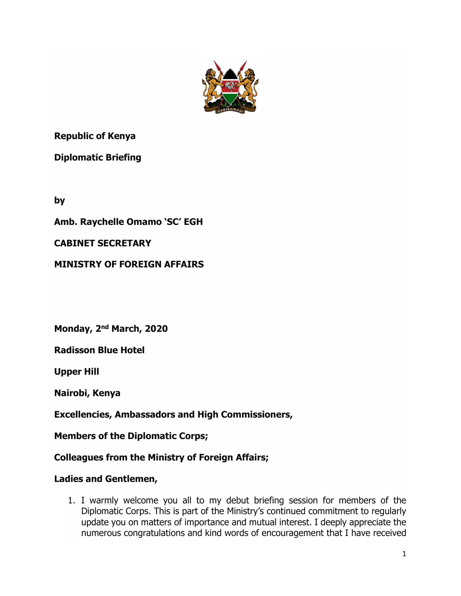

**Republic of Kenya**

**Diplomatic Briefing**

**by**

**Amb. Raychelle Omamo 'SC' EGH**

## **CABINET SECRETARY**

**MINISTRY OF FOREIGN AFFAIRS**

**Monday, 2nd March, 2020**

**Radisson Blue Hotel**

**Upper Hill**

**Nairobi, Kenya**

**Excellencies, Ambassadors and High Commissioners,**

**Members of the Diplomatic Corps;**

**Colleagues from the Ministry of Foreign Affairs;**

### **Ladies and Gentlemen,**

1. I warmly welcome you all to my debut briefing session for members of the Diplomatic Corps. This is part of the Ministry's continued commitment to regularly update you on matters of importance and mutual interest. I deeply appreciate the numerous congratulations and kind words of encouragement that I have received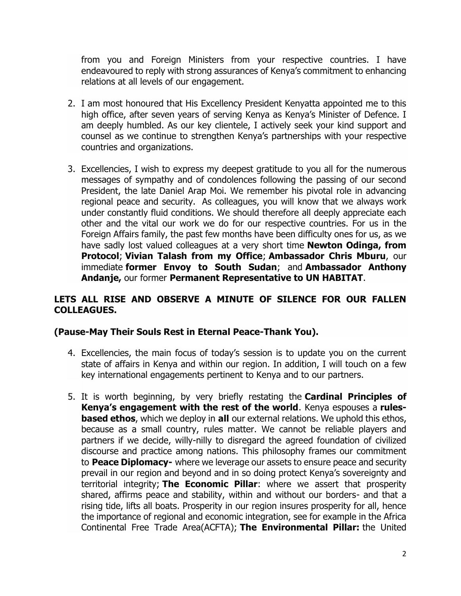from you and Foreign Ministers from your respective countries. I have endeavoured to reply with strong assurances of Kenya's commitment to enhancing relations at all levels of our engagement.

- 2. I am most honoured that His Excellency President Kenyatta appointed me to this high office, after seven years of serving Kenya as Kenya's Minister of Defence. I am deeply humbled. As our key clientele, I actively seek your kind support and counsel as we continue to strengthen Kenya's partnerships with your respective countries and organizations.
- 3. Excellencies, I wish to express my deepest gratitude to you all for the numerous messages of sympathy and of condolences following the passing of our second President, the late Daniel Arap Moi. We remember his pivotal role in advancing regional peace and security. As colleagues, you will know that we always work under constantly fluid conditions. We should therefore all deeply appreciate each other and the vital our work we do for our respective countries. For us in the Foreign Affairs family, the past few months have been difficulty ones for us, as we have sadly lost valued colleagues at a very short time **Newton Odinga, from Protocol**; **Vivian Talash from my Office**; **Ambassador Chris Mburu**, our immediate **former Envoy to South Sudan**; and **Ambassador Anthony Andanje,** our former **Permanent Representative to UN HABITAT**.

### **LETS ALL RISE AND OBSERVE A MINUTE OF SILENCE FOR OUR FALLEN COLLEAGUES.**

### **(Pause-May Their Souls Rest in Eternal Peace-Thank You).**

- 4. Excellencies, the main focus of today's session is to update you on the current state of affairs in Kenya and within our region. In addition, I will touch on a few key international engagements pertinent to Kenya and to our partners.
- 5. It is worth beginning, by very briefly restating the **Cardinal Principles of Kenya's engagement with the rest of the world**. Kenya espouses a **rulesbased ethos**, which we deploy in **all** our external relations. We uphold this ethos, because as a small country, rules matter. We cannot be reliable players and partners if we decide, willy-nilly to disregard the agreed foundation of civilized discourse and practice among nations. This philosophy frames our commitment to **Peace Diplomacy-** where we leverage our assets to ensure peace and security prevail in our region and beyond and in so doing protect Kenya's sovereignty and territorial integrity; **The Economic Pillar**: where we assert that prosperity shared, affirms peace and stability, within and without our borders- and that a rising tide, lifts all boats. Prosperity in our region insures prosperity for all, hence the importance of regional and economic integration, see for example in the Africa Continental Free Trade Area(ACFTA); **The Environmental Pillar:** the United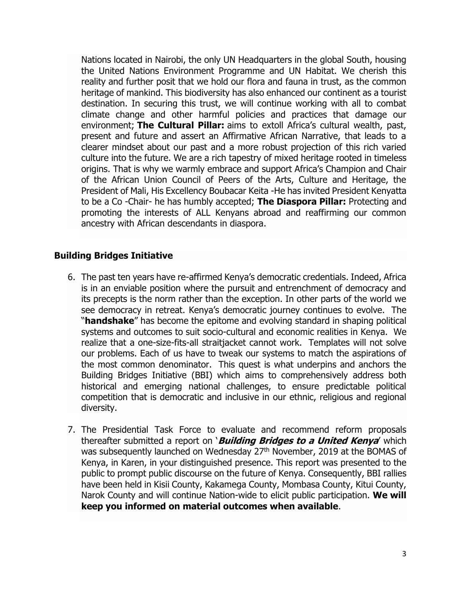Nations located in Nairobi, the only UN Headquarters in the global South, housing the United Nations Environment Programme and UN Habitat. We cherish this reality and further posit that we hold our flora and fauna in trust, as the common heritage of mankind. This biodiversity has also enhanced our continent as a tourist destination. In securing this trust, we will continue working with all to combat climate change and other harmful policies and practices that damage our environment; **The Cultural Pillar:** aims to extoll Africa's cultural wealth, past, present and future and assert an Affirmative African Narrative, that leads to a clearer mindset about our past and a more robust projection of this rich varied culture into the future. We are a rich tapestry of mixed heritage rooted in timeless origins. That is why we warmly embrace and support Africa's Champion and Chair of the African Union Council of Peers of the Arts, Culture and Heritage, the President of Mali, His Excellency Boubacar Keita -He has invited President Kenyatta to be a Co -Chair- he has humbly accepted; **The Diaspora Pillar:** Protecting and promoting the interests of ALL Kenyans abroad and reaffirming our common ancestry with African descendants in diaspora.

## **Building Bridges Initiative**

- 6. The past ten years have re-affirmed Kenya's democratic credentials. Indeed, Africa is in an enviable position where the pursuit and entrenchment of democracy and its precepts is the norm rather than the exception. In other parts of the world we see democracy in retreat. Kenya's democratic journey continues to evolve. The "**handshake**" has become the epitome and evolving standard in shaping political systems and outcomes to suit socio-cultural and economic realities in Kenya. We realize that a one-size-fits-all straitjacket cannot work. Templates will not solve our problems. Each of us have to tweak our systems to match the aspirations of the most common denominator. This quest is what underpins and anchors the Building Bridges Initiative (BBI) which aims to comprehensively address both historical and emerging national challenges, to ensure predictable political competition that is democratic and inclusive in our ethnic, religious and regional diversity.
- 7. The Presidential Task Force to evaluate and recommend reform proposals thereafter submitted a report on '**Building Bridges to a United Kenya**' which was subsequently launched on Wednesday 27<sup>th</sup> November, 2019 at the BOMAS of Kenya, in Karen, in your distinguished presence. This report was presented to the public to prompt public discourse on the future of Kenya. Consequently, BBI rallies have been held in Kisii County, Kakamega County, Mombasa County, Kitui County, Narok County and will continue Nation-wide to elicit public participation. **We will keep you informed on material outcomes when available**.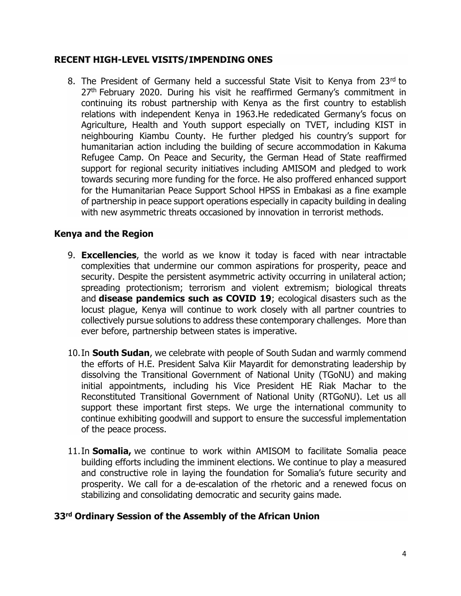#### **RECENT HIGH-LEVEL VISITS/IMPENDING ONES**

8. The President of Germany held a successful State Visit to Kenya from 23rd to 27<sup>th</sup> February 2020. During his visit he reaffirmed Germany's commitment in continuing its robust partnership with Kenya as the first country to establish relations with independent Kenya in 1963.He rededicated Germany's focus on Agriculture, Health and Youth support especially on TVET, including KIST in neighbouring Kiambu County. He further pledged his country's support for humanitarian action including the building of secure accommodation in Kakuma Refugee Camp. On Peace and Security, the German Head of State reaffirmed support for regional security initiatives including AMISOM and pledged to work towards securing more funding for the force. He also proffered enhanced support for the Humanitarian Peace Support School HPSS in Embakasi as a fine example of partnership in peace support operations especially in capacity building in dealing with new asymmetric threats occasioned by innovation in terrorist methods.

### **Kenya and the Region**

- 9. **Excellencies**, the world as we know it today is faced with near intractable complexities that undermine our common aspirations for prosperity, peace and security. Despite the persistent asymmetric activity occurring in unilateral action; spreading protectionism; terrorism and violent extremism; biological threats and **disease pandemics such as COVID 19**; ecological disasters such as the locust plague, Kenya will continue to work closely with all partner countries to collectively pursue solutions to address these contemporary challenges. More than ever before, partnership between states is imperative.
- 10.In **South Sudan**, we celebrate with people of South Sudan and warmly commend the efforts of H.E. President Salva Kiir Mayardit for demonstrating leadership by dissolving the Transitional Government of National Unity (TGoNU) and making initial appointments, including his Vice President HE Riak Machar to the Reconstituted Transitional Government of National Unity (RTGoNU). Let us all support these important first steps. We urge the international community to continue exhibiting goodwill and support to ensure the successful implementation of the peace process.
- 11.In **Somalia,** we continue to work within AMISOM to facilitate Somalia peace building efforts including the imminent elections. We continue to play a measured and constructive role in laying the foundation for Somalia's future security and prosperity. We call for a de-escalation of the rhetoric and a renewed focus on stabilizing and consolidating democratic and security gains made.

### **33rd Ordinary Session of the Assembly of the African Union**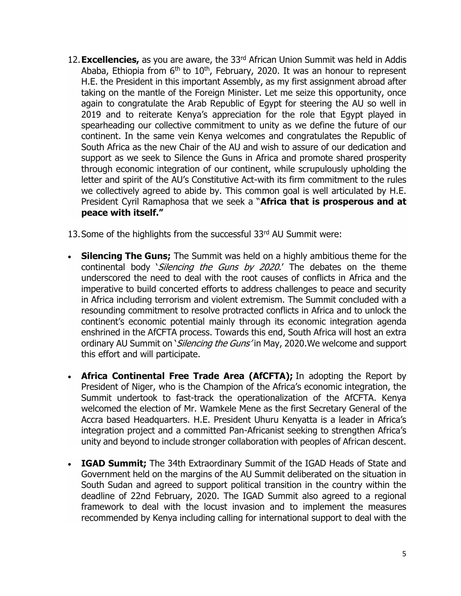- 12.**Excellencies,** as you are aware, the 33rd African Union Summit was held in Addis Ababa, Ethiopia from  $6<sup>th</sup>$  to  $10<sup>th</sup>$ , February, 2020. It was an honour to represent H.E. the President in this important Assembly, as my first assignment abroad after taking on the mantle of the Foreign Minister. Let me seize this opportunity, once again to congratulate the Arab Republic of Egypt for steering the AU so well in 2019 and to reiterate Kenya's appreciation for the role that Egypt played in spearheading our collective commitment to unity as we define the future of our continent. In the same vein Kenya welcomes and congratulates the Republic of South Africa as the new Chair of the AU and wish to assure of our dedication and support as we seek to Silence the Guns in Africa and promote shared prosperity through economic integration of our continent, while scrupulously upholding the letter and spirit of the AU's Constitutive Act-with its firm commitment to the rules we collectively agreed to abide by. This common goal is well articulated by H.E. President Cyril Ramaphosa that we seek a "**Africa that is prosperous and at peace with itself."**
- 13. Some of the highlights from the successful 33rd AU Summit were:
- **Silencing The Guns;** The Summit was held on a highly ambitious theme for the continental body *Silencing the Guns by 2020*.' The debates on the theme underscored the need to deal with the root causes of conflicts in Africa and the imperative to build concerted efforts to address challenges to peace and security in Africa including terrorism and violent extremism. The Summit concluded with a resounding commitment to resolve protracted conflicts in Africa and to unlock the continent's economic potential mainly through its economic integration agenda enshrined in the AfCFTA process. Towards this end, South Africa will host an extra ordinary AU Summit on *`Silencing the Guns'* in May, 2020. We welcome and support this effort and will participate.
- **Africa Continental Free Trade Area (AfCFTA);** In adopting the Report by President of Niger, who is the Champion of the Africa's economic integration, the Summit undertook to fast-track the operationalization of the AfCFTA. Kenya welcomed the election of Mr. Wamkele Mene as the first Secretary General of the Accra based Headquarters. H.E. President Uhuru Kenyatta is a leader in Africa's integration project and a committed Pan-Africanist seeking to strengthen Africa's unity and beyond to include stronger collaboration with peoples of African descent.
- **IGAD Summit;** The 34th Extraordinary Summit of the IGAD Heads of State and Government held on the margins of the AU Summit deliberated on the situation in South Sudan and agreed to support political transition in the country within the deadline of 22nd February, 2020. The IGAD Summit also agreed to a regional framework to deal with the locust invasion and to implement the measures recommended by Kenya including calling for international support to deal with the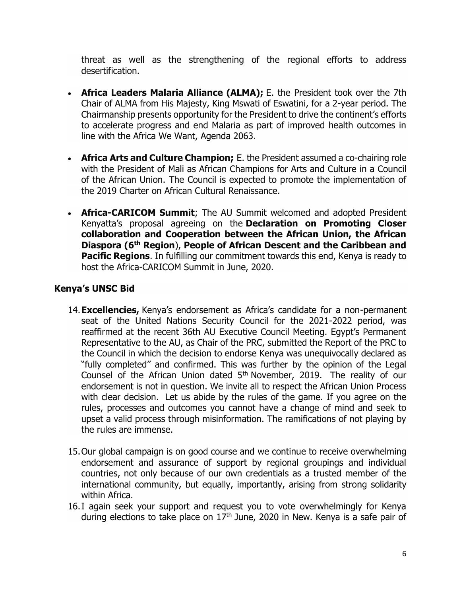threat as well as the strengthening of the regional efforts to address desertification.

- **Africa Leaders Malaria Alliance (ALMA);** E. the President took over the 7th Chair of ALMA from His Majesty, King Mswati of Eswatini, for a 2-year period. The Chairmanship presents opportunity for the President to drive the continent's efforts to accelerate progress and end Malaria as part of improved health outcomes in line with the Africa We Want, Agenda 2063.
- **Africa Arts and Culture Champion;** E. the President assumed a co-chairing role with the President of Mali as African Champions for Arts and Culture in a Council of the African Union. The Council is expected to promote the implementation of the 2019 Charter on African Cultural Renaissance.
- **Africa-CARICOM Summit**; The AU Summit welcomed and adopted President Kenyatta's proposal agreeing on the **Declaration on Promoting Closer collaboration and Cooperation between the African Union, the African Diaspora (6th Region**), **People of African Descent and the Caribbean and Pacific Regions.** In fulfilling our commitment towards this end, Kenya is ready to host the Africa-CARICOM Summit in June, 2020.

# **Kenya's UNSC Bid**

- 14.**Excellencies,** Kenya's endorsement as Africa's candidate for a non-permanent seat of the United Nations Security Council for the 2021-2022 period, was reaffirmed at the recent 36th AU Executive Council Meeting. Egypt's Permanent Representative to the AU, as Chair of the PRC, submitted the Report of the PRC to the Council in which the decision to endorse Kenya was unequivocally declared as "fully completed'' and confirmed. This was further by the opinion of the Legal Counsel of the African Union dated 5<sup>th</sup> November, 2019. The reality of our endorsement is not in question. We invite all to respect the African Union Process with clear decision. Let us abide by the rules of the game. If you agree on the rules, processes and outcomes you cannot have a change of mind and seek to upset a valid process through misinformation. The ramifications of not playing by the rules are immense.
- 15.Our global campaign is on good course and we continue to receive overwhelming endorsement and assurance of support by regional groupings and individual countries, not only because of our own credentials as a trusted member of the international community, but equally, importantly, arising from strong solidarity within Africa.
- 16.I again seek your support and request you to vote overwhelmingly for Kenya during elections to take place on  $17<sup>th</sup>$  June, 2020 in New. Kenya is a safe pair of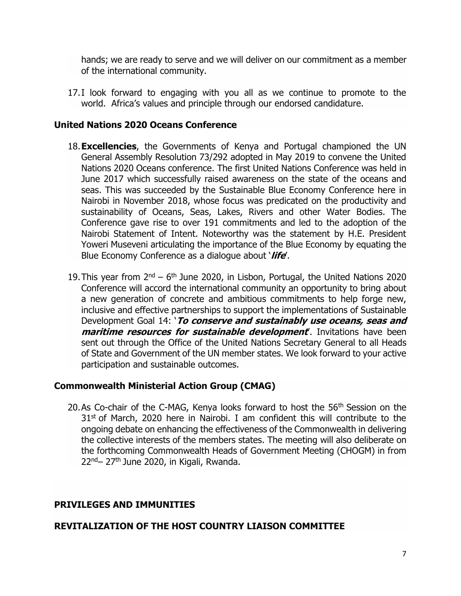hands; we are ready to serve and we will deliver on our commitment as a member of the international community.

17.I look forward to engaging with you all as we continue to promote to the world. Africa's values and principle through our endorsed candidature.

#### **United Nations 2020 Oceans Conference**

- 18.**Excellencies**, the Governments of Kenya and Portugal championed the UN General Assembly Resolution 73/292 adopted in May 2019 to convene the United Nations 2020 Oceans conference. The first United Nations Conference was held in June 2017 which successfully raised awareness on the state of the oceans and seas. This was succeeded by the Sustainable Blue Economy Conference here in Nairobi in November 2018, whose focus was predicated on the productivity and sustainability of Oceans, Seas, Lakes, Rivers and other Water Bodies. The Conference gave rise to over 191 commitments and led to the adoption of the Nairobi Statement of Intent. Noteworthy was the statement by H.E. President Yoweri Museveni articulating the importance of the Blue Economy by equating the Blue Economy Conference as a dialogue about '**life**'.
- 19. This year from  $2^{nd}$  6<sup>th</sup> June 2020, in Lisbon, Portugal, the United Nations 2020 Conference will accord the international community an opportunity to bring about a new generation of concrete and ambitious commitments to help forge new, inclusive and effective partnerships to support the implementations of Sustainable Development Goal 14: '**To conserve and sustainably use oceans, seas and maritime resources for sustainable development**'. Invitations have been sent out through the Office of the United Nations Secretary General to all Heads of State and Government of the UN member states. We look forward to your active participation and sustainable outcomes.

### **Commonwealth Ministerial Action Group (CMAG)**

20.As Co-chair of the C-MAG, Kenya looks forward to host the 56<sup>th</sup> Session on the  $31<sup>st</sup>$  of March, 2020 here in Nairobi. I am confident this will contribute to the ongoing debate on enhancing the effectiveness of the Commonwealth in delivering the collective interests of the members states. The meeting will also deliberate on the forthcoming Commonwealth Heads of Government Meeting (CHOGM) in from  $22^{nd}$ – 27<sup>th</sup> June 2020, in Kigali, Rwanda.

### **PRIVILEGES AND IMMUNITIES**

### **REVITALIZATION OF THE HOST COUNTRY LIAISON COMMITTEE**